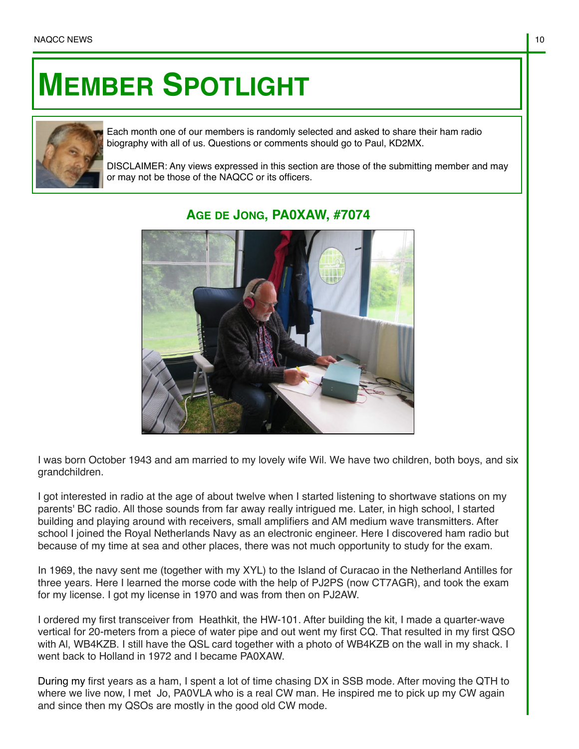## **MEMBER SPOTLIGHT**



Each month one of our members is randomly selected and asked to share their ham radio biography with all of us. Questions or comments should go to Paul, KD2MX.

DISCLAIMER: Any views expressed in this section are those of the submitting member and may or may not be those of the NAQCC or its officers.



## **AGE DE JONG, PA0XAW, #7074**

I was born October 1943 and am married to my lovely wife Wil. We have two children, both boys, and six grandchildren.

I got interested in radio at the age of about twelve when I started listening to shortwave stations on my parents' BC radio. All those sounds from far away really intrigued me. Later, in high school, I started building and playing around with receivers, small amplifiers and AM medium wave transmitters. After school I joined the Royal Netherlands Navy as an electronic engineer. Here I discovered ham radio but because of my time at sea and other places, there was not much opportunity to study for the exam.

In 1969, the navy sent me (together with my XYL) to the Island of Curacao in the Netherland Antilles for three years. Here I learned the morse code with the help of PJ2PS (now CT7AGR), and took the exam for my license. I got my license in 1970 and was from then on PJ2AW.

I ordered my first transceiver from Heathkit, the HW-101. After building the kit, I made a quarter-wave vertical for 20-meters from a piece of water pipe and out went my first CQ. That resulted in my first QSO with Al, WB4KZB. I still have the QSL card together with a photo of WB4KZB on the wall in my shack. I went back to Holland in 1972 and I became PA0XAW.

During my first years as a ham, I spent a lot of time chasing DX in SSB mode. After moving the QTH to where we live now, I met Jo, PA0VLA who is a real CW man. He inspired me to pick up my CW again and since then my QSOs are mostly in the good old CW mode.